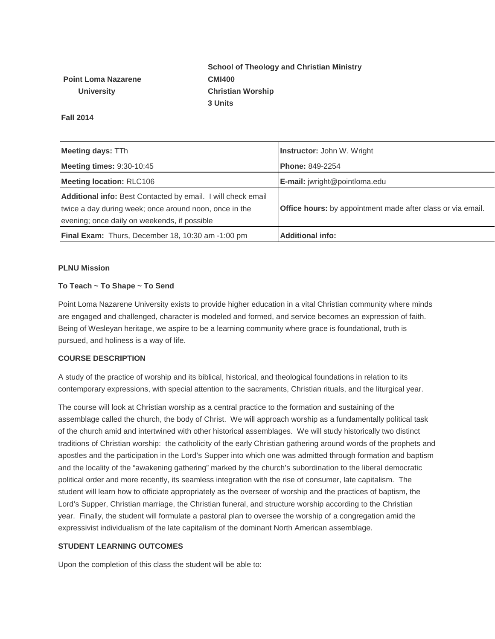# **School of Theology and Christian Ministry CMI400 Christian Worship 3 Units**

**Point Loma Nazarene University**

**Fall 2014**

| <b>Meeting days: TTh</b>                                     | <b>Instructor:</b> John W. Wright                                  |  |
|--------------------------------------------------------------|--------------------------------------------------------------------|--|
| <b>Meeting times: 9:30-10:45</b>                             | <b>Phone: 849-2254</b>                                             |  |
| <b>Meeting location: RLC106</b>                              | E-mail: jwright@pointloma.edu                                      |  |
| Additional info: Best Contacted by email. I will check email |                                                                    |  |
| twice a day during week; once around noon, once in the       | <b>Office hours:</b> by appointment made after class or via email. |  |
| evening; once daily on weekends, if possible                 |                                                                    |  |
| <b>Final Exam:</b> Thurs, December 18, 10:30 am -1:00 pm     | <b>Additional info:</b>                                            |  |

## **PLNU Mission**

## **To Teach ~ To Shape ~ To Send**

Point Loma Nazarene University exists to provide higher education in a vital Christian community where minds are engaged and challenged, character is modeled and formed, and service becomes an expression of faith. Being of Wesleyan heritage, we aspire to be a learning community where grace is foundational, truth is pursued, and holiness is a way of life.

## **COURSE DESCRIPTION**

A study of the practice of worship and its biblical, historical, and theological foundations in relation to its contemporary expressions, with special attention to the sacraments, Christian rituals, and the liturgical year.

The course will look at Christian worship as a central practice to the formation and sustaining of the assemblage called the church, the body of Christ. We will approach worship as a fundamentally political task of the church amid and intertwined with other historical assemblages. We will study historically two distinct traditions of Christian worship: the catholicity of the early Christian gathering around words of the prophets and apostles and the participation in the Lord's Supper into which one was admitted through formation and baptism and the locality of the "awakening gathering" marked by the church's subordination to the liberal democratic political order and more recently, its seamless integration with the rise of consumer, late capitalism. The student will learn how to officiate appropriately as the overseer of worship and the practices of baptism, the Lord's Supper, Christian marriage, the Christian funeral, and structure worship according to the Christian year. Finally, the student will formulate a pastoral plan to oversee the worship of a congregation amid the expressivist individualism of the late capitalism of the dominant North American assemblage.

## **STUDENT LEARNING OUTCOMES**

Upon the completion of this class the student will be able to: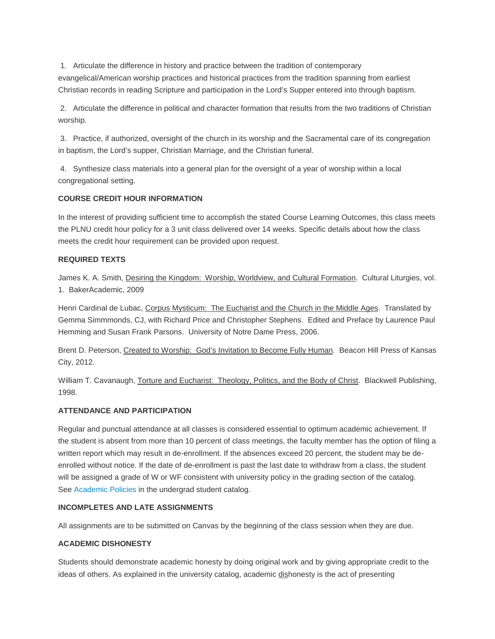1. Articulate the difference in history and practice between the tradition of contemporary evangelical/American worship practices and historical practices from the tradition spanning from earliest Christian records in reading Scripture and participation in the Lord's Supper entered into through baptism.

2. Articulate the difference in political and character formation that results from the two traditions of Christian worship.

3. Practice, if authorized, oversight of the church in its worship and the Sacramental care of its congregation in baptism, the Lord's supper, Christian Marriage, and the Christian funeral.

4. Synthesize class materials into a general plan for the oversight of a year of worship within a local congregational setting.

## **COURSE CREDIT HOUR INFORMATION**

In the interest of providing sufficient time to accomplish the stated Course Learning Outcomes, this class meets the PLNU credit hour policy for a 3 unit class delivered over 14 weeks. Specific details about how the class meets the credit hour requirement can be provided upon request.

## **REQUIRED TEXTS**

James K. A. Smith, Desiring the Kingdom: Worship, Worldview, and Cultural Formation. Cultural Liturgies, vol. 1. BakerAcademic, 2009

Henri Cardinal de Lubac, Corpus Mysticum: The Eucharist and the Church in the Middle Ages. Translated by Gemma Simmmonds, CJ, with Richard Price and Christopher Stephens. Edited and Preface by Laurence Paul Hemming and Susan Frank Parsons. University of Notre Dame Press, 2006.

Brent D. Peterson, Created to Worship: God's Invitation to Become Fully Human. Beacon Hill Press of Kansas City, 2012.

William T. Cavanaugh, Torture and Eucharist: Theology, Politics, and the Body of Christ. Blackwell Publishing, 1998.

## **ATTENDANCE AND PARTICIPATION**

Regular and punctual attendance at all classes is considered essential to optimum academic achievement. If the student is absent from more than 10 percent of class meetings, the faculty member has the option of filing a written report which may result in de-enrollment. If the absences exceed 20 percent, the student may be deenrolled without notice. If the date of de-enrollment is past the last date to withdraw from a class, the student will be assigned a grade of W or WF consistent with university policy in the grading section of the catalog. See [Academic Policies](http://www.pointloma.edu/experience/academics/catalogs/undergraduate-catalog/point-loma-education/academic-policies) in the undergrad student catalog.

## **INCOMPLETES AND LATE ASSIGNMENTS**

All assignments are to be submitted on Canvas by the beginning of the class session when they are due.

## **ACADEMIC DISHONESTY**

Students should demonstrate academic honesty by doing original work and by giving appropriate credit to the ideas of others. As explained in the university catalog, academic dishonesty is the act of presenting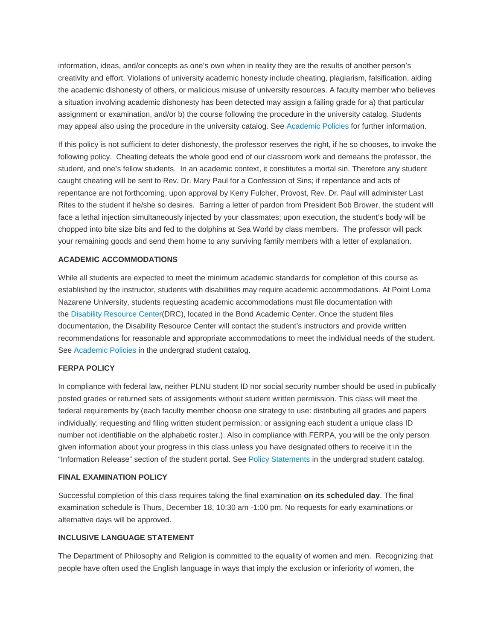information, ideas, and/or concepts as one's own when in reality they are the results of another person's creativity and effort. Violations of university academic honesty include cheating, plagiarism, falsification, aiding the academic dishonesty of others, or malicious misuse of university resources. A faculty member who believes a situation involving academic dishonesty has been detected may assign a failing grade for a) that particular assignment or examination, and/or b) the course following the procedure in the university catalog. Students may appeal also using the procedure in the university catalog. See [Academic Policies](http://www.pointloma.edu/experience/academics/catalogs/undergraduate-catalog/point-loma-education/academic-policies) for further information.

If this policy is not sufficient to deter dishonesty, the professor reserves the right, if he so chooses, to invoke the following policy. Cheating defeats the whole good end of our classroom work and demeans the professor, the student, and one's fellow students. In an academic context, it constitutes a mortal sin. Therefore any student caught cheating will be sent to Rev. Dr. Mary Paul for a Confession of Sins; if repentance and acts of repentance are not forthcoming, upon approval by Kerry Fulcher, Provost, Rev. Dr. Paul will administer Last Rites to the student if he/she so desires. Barring a letter of pardon from President Bob Brower, the student will face a lethal injection simultaneously injected by your classmates; upon execution, the student's body will be chopped into bite size bits and fed to the dolphins at Sea World by class members. The professor will pack your remaining goods and send them home to any surviving family members with a letter of explanation.

#### **ACADEMIC ACCOMMODATIONS**

While all students are expected to meet the minimum academic standards for completion of this course as established by the instructor, students with disabilities may require academic accommodations. At Point Loma Nazarene University, students requesting academic accommodations must file documentation with the [Disability Resource Center\(](http://www.pointloma.edu/experience/offices/administrative-offices/academic-advising-office/disability-resource-center)DRC), located in the Bond Academic Center. Once the student files documentation, the Disability Resource Center will contact the student's instructors and provide written recommendations for reasonable and appropriate accommodations to meet the individual needs of the student. See [Academic Policies](http://www.pointloma.edu/experience/academics/catalogs/undergraduate-catalog/point-loma-education/academic-policies) in the undergrad student catalog.

#### **FERPA POLICY**

In compliance with federal law, neither PLNU student ID nor social security number should be used in publically posted grades or returned sets of assignments without student written permission. This class will meet the federal requirements by (each faculty member choose one strategy to use: distributing all grades and papers individually; requesting and filing written student permission; or assigning each student a unique class ID number not identifiable on the alphabetic roster.). Also in compliance with FERPA, you will be the only person given information about your progress in this class unless you have designated others to receive it in the "Information Release" section of the student portal. See [Policy Statements](http://www.pointloma.edu/experience/academics/catalogs/undergraduate-catalog/policy-statements) in the undergrad student catalog.

#### **FINAL EXAMINATION POLICY**

Successful completion of this class requires taking the final examination **on its scheduled day**. The final examination schedule is Thurs, December 18, 10:30 am -1:00 pm. No requests for early examinations or alternative days will be approved.

#### **INCLUSIVE LANGUAGE STATEMENT**

The Department of Philosophy and Religion is committed to the equality of women and men. Recognizing that people have often used the English language in ways that imply the exclusion or inferiority of women, the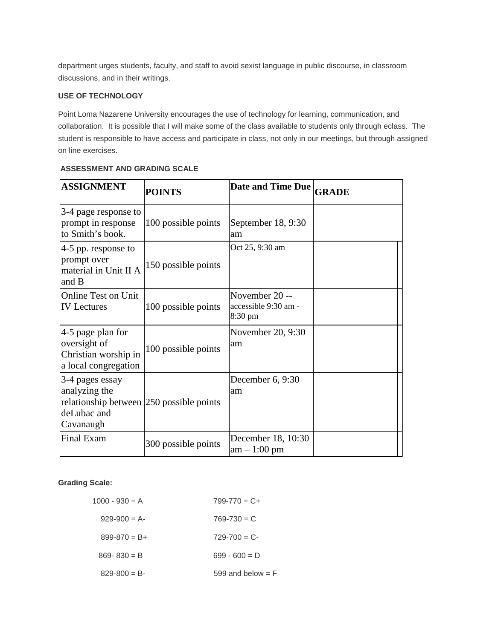department urges students, faculty, and staff to avoid sexist language in public discourse, in classroom discussions, and in their writings.

#### **USE OF TECHNOLOGY**

Point Loma Nazarene University encourages the use of technology for learning, communication, and collaboration. It is possible that I will make some of the class available to students only through eclass. The student is responsible to have access and participate in class, not only in our meetings, but through assigned on line exercises.

| <b>ASSIGNMENT</b>                                                                                        | <b>POINTS</b>       | Date and Time Due                                   | <b>GRADE</b> |
|----------------------------------------------------------------------------------------------------------|---------------------|-----------------------------------------------------|--------------|
| 3-4 page response to<br>prompt in response<br>to Smith's book.                                           | 100 possible points | September 18, 9:30<br>am                            |              |
| $ 4-5$ pp. response to<br>prompt over<br>material in Unit II A<br>and B                                  | 150 possible points | Oct 25, 9:30 am                                     |              |
| <b>Online Test on Unit</b><br><b>IV</b> Lectures                                                         | 100 possible points | November 20 --<br>accessible 9:30 am -<br>8:30 pm   |              |
| $ 4-5 $ page plan for<br>oversight of<br>Christian worship in<br>a local congregation                    | 100 possible points | November 20, 9:30<br>am                             |              |
| 3-4 pages essay<br>analyzing the<br>relationship between 250 possible points<br>deLubac and<br>Cavanaugh |                     | December 6, 9:30<br>am                              |              |
| Final Exam                                                                                               | 300 possible points | December 18, 10:30<br>$\text{am} - 1:00 \text{ pm}$ |              |

#### **ASSESSMENT AND GRADING SCALE**

## **Grading Scale:**

| $1000 - 930 = A$  | $799 - 770 = C +$   |
|-------------------|---------------------|
| $929-900 = A$     | $769 - 730 = C$     |
| $899 - 870 = B +$ | $729 - 700 = C$     |
| $869 - 830 = B$   | $699 - 600 = D$     |
| $829 - 800 = B$   | 599 and below $=$ F |